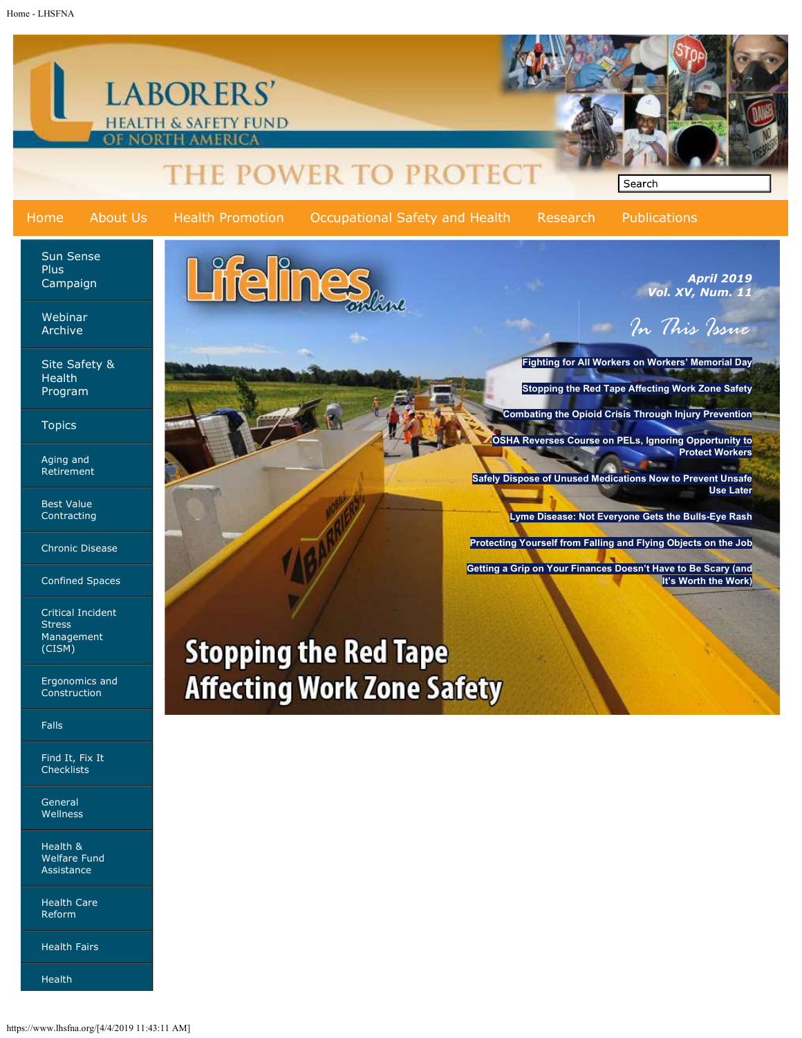Home - LHSFNA



Health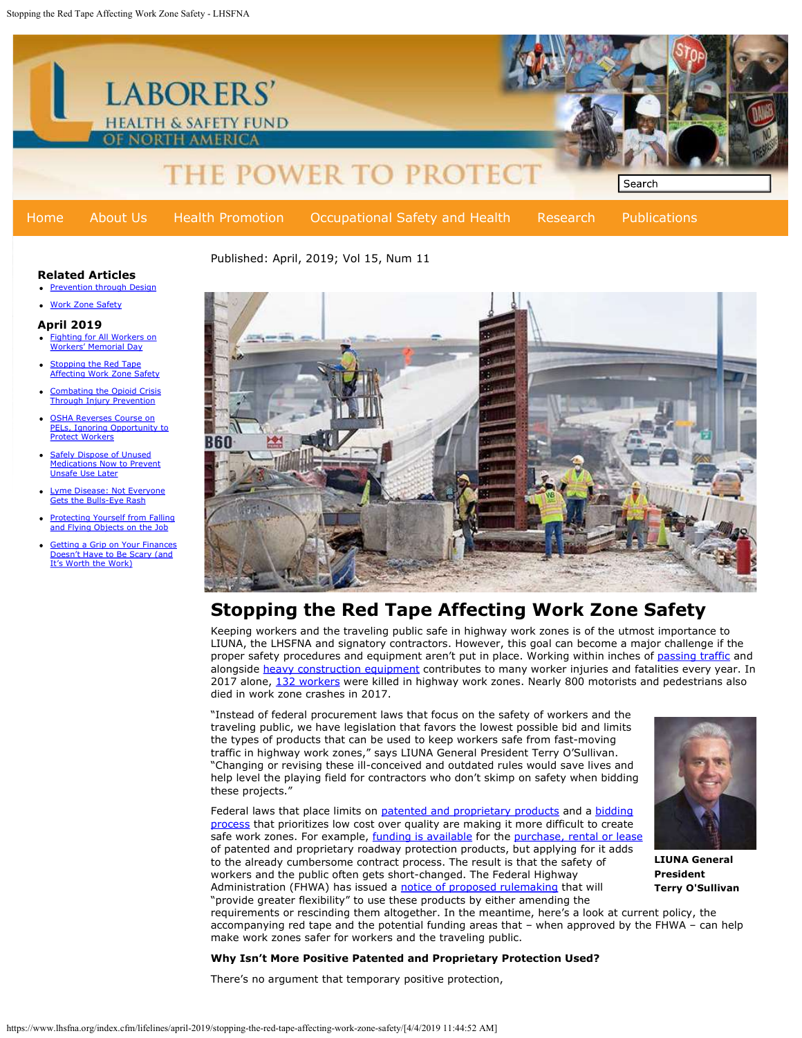

## Related Articles

- Prevention through Design
- Work Zone Safety

#### April 2019

- Fighting for All Workers on Workers' Memorial Day
- 
- Combating the Opioid Crisis Through Injury Prevention
- OSHA Reverses Course on PELs, Ignoring Opportunity to Protect Workers **RR**
- Safely Dispose of Unused **Medications Now to Prevent** Unsafe Use Later
- me Disease: Not Everyone Gets the Bulls-Eye Rash
- Protecting Yourself from Falling and Flying Objects on the Job
- Getting a Grip on Your Finances **Doesn't Have to Be Scary (and** It's Worth the Work)



# Stopping the Red Tape Affecting Work Zone Safety

Keeping workers and the traveling public safe in highway work zones is of the utmost importance to LIUNA, the LHSFNA and signatory contractors. However, this goal can become a major challenge if the proper safety procedures and equipment aren't put in place. Working within inches of passing traffic and alongside heavy construction equipment contributes to many worker injuries and fatalities every year. In 2017 alone, 132 workers were killed in highway work zones. Nearly 800 motorists and pedestrians also died in work zone crashes in 2017.

"Instead of federal procurement laws that focus on the safety of workers and the traveling public, we have legislation that favors the lowest possible bid and limits the types of products that can be used to keep workers safe from fast-moving traffic in highway work zones," says LIUNA General President Terry O'Sullivan. "Changing or revising these ill-conceived and outdated rules would save lives and help level the playing field for contractors who don't skimp on safety when bidding these projects."

Federal laws that place limits on patented and proprietary products and a bidding process that prioritizes low cost over quality are making it more difficult to create safe work zones. For example, funding is available for the purchase, rental or lease of patented and proprietary roadway protection products, but applying for it adds to the already cumbersome contract process. The result is that the safety of workers and the public often gets short-changed. The Federal Highway Administration (FHWA) has issued a notice of proposed rulemaking that will

LIUNA General President Terry O'Sullivan

"provide greater flexibility" to use these products by either amending the requirements or rescinding them altogether. In the meantime, here's a look at current policy, the accompanying red tape and the potential funding areas that – when approved by the FHWA – can help make work zones safer for workers and the traveling public.

#### Why Isn't More Positive Patented and Proprietary Protection Used?

There's no argument that temporary positive protection,